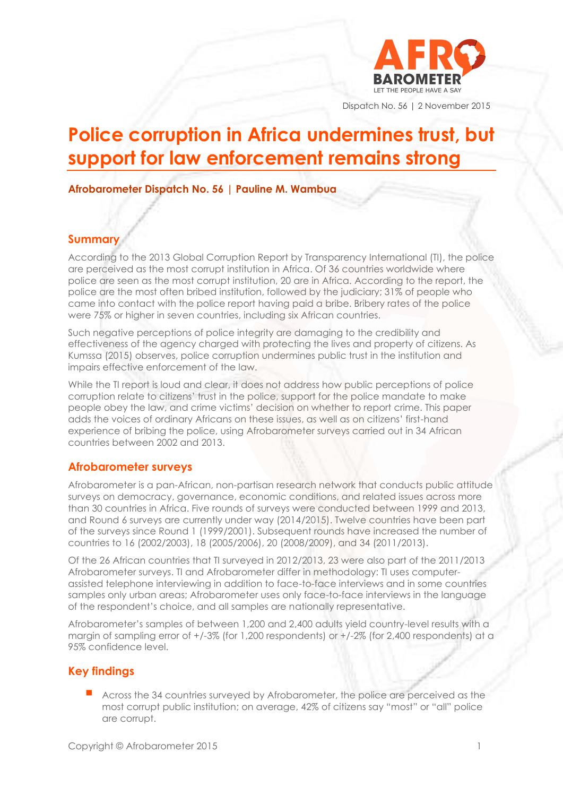

Dispatch No. 56 | 2 November 2015

# **Police corruption in Africa undermines trust, but support for law enforcement remains strong**

**Afrobarometer Dispatch No. 56 | Pauline M. Wambua**

#### **Summary**

According to the 2013 Global Corruption Report by Transparency International (TI), the police are perceived as the most corrupt institution in Africa. Of 36 countries worldwide where police are seen as the most corrupt institution, 20 are in Africa. According to the report, the police are the most often bribed institution, followed by the judiciary; 31% of people who came into contact with the police report having paid a bribe. Bribery rates of the police were 75% or higher in seven countries, including six African countries.

Such negative perceptions of police integrity are damaging to the credibility and effectiveness of the agency charged with protecting the lives and property of citizens. As Kumssa (2015) observes, police corruption undermines public trust in the institution and impairs effective enforcement of the law.

While the TI report is loud and clear, it does not address how public perceptions of police corruption relate to citizens' trust in the police, support for the police mandate to make people obey the law, and crime victims' decision on whether to report crime. This paper adds the voices of ordinary Africans on these issues, as well as on citizens' first-hand experience of bribing the police, using Afrobarometer surveys carried out in 34 African countries between 2002 and 2013.

#### **Afrobarometer surveys**

Afrobarometer is a pan-African, non-partisan research network that conducts public attitude surveys on democracy, governance, economic conditions, and related issues across more than 30 countries in Africa. Five rounds of surveys were conducted between 1999 and 2013, and Round 6 surveys are currently under way (2014/2015). Twelve countries have been part of the surveys since Round 1 (1999/2001). Subsequent rounds have increased the number of countries to 16 (2002/2003), 18 (2005/2006), 20 (2008/2009), and 34 (2011/2013).

Of the 26 African countries that TI surveyed in 2012/2013, 23 were also part of the 2011/2013 Afrobarometer surveys. TI and Afrobarometer differ in methodology: TI uses computerassisted telephone interviewing in addition to face-to-face interviews and in some countries samples only urban areas; Afrobarometer uses only face-to-face interviews in the language of the respondent's choice, and all samples are nationally representative.

Afrobarometer's samples of between 1,200 and 2,400 adults yield country-level results with a margin of sampling error of +/-3% (for 1,200 respondents) or +/-2% (for 2,400 respondents) at a 95% confidence level.

## **Key findings**

 Across the 34 countries surveyed by Afrobarometer, the police are perceived as the most corrupt public institution; on average, 42% of citizens say "most" or "all" police are corrupt.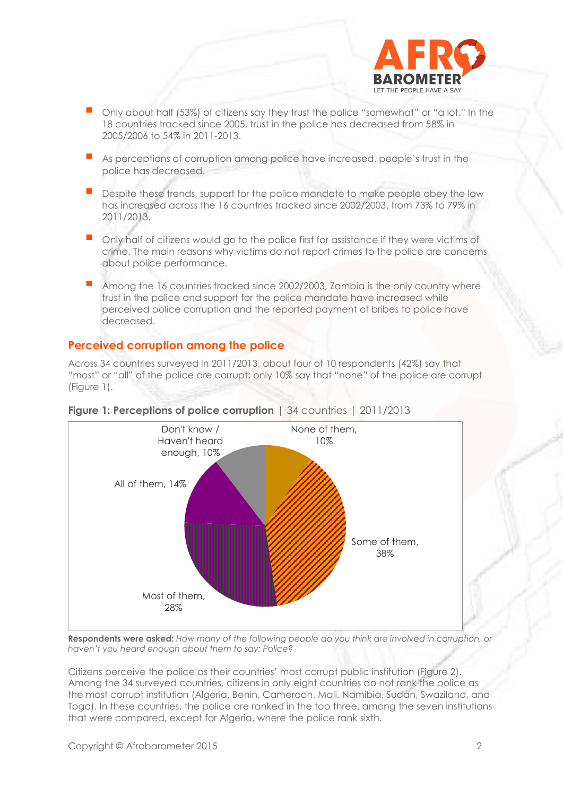

- Only about half (53%) of citizens say they trust the police "somewhat" or "a lot." In the 18 countries tracked since 2005, trust in the police has decreased from 58% in 2005/2006 to 54% in 2011-2013.
- As perceptions of corruption among police have increased, people's trust in the police has decreased.
- Despite these trends, support for the police mandate to make people obey the law has increased across the 16 countries tracked since 2002/2003, from 73% to 79% in 2011/2013.
- Only half of citizens would go to the police first for assistance if they were victims of crime. The main reasons why victims do not report crimes to the police are concerns about police performance.
- Among the 16 countries tracked since 2002/2003, Zambia is the only country where trust in the police and support for the police mandate have increased while perceived police corruption and the reported payment of bribes to police have decreased.

#### **Perceived corruption among the police**

Across 34 countries surveyed in 2011/2013, about four of 10 respondents (42%) say that "most" or "all" of the police are corrupt; only 10% say that "none" of the police are corrupt (Figure 1).



#### **Figure 1: Perceptions of police corruption** | 34 countries | 2011/2013

**Respondents were asked:** *How many of the following people do you think are involved in corruption, or haven't you heard enough about them to say: Police?* 

Citizens perceive the police as their countries' most corrupt public institution (Figure 2). Among the 34 surveyed countries, citizens in only eight countries do not rank the police as the most corrupt institution (Algeria, Benin, Cameroon, Mali, Namibia, Sudan, Swaziland, and Togo). In these countries, the police are ranked in the top three, among the seven institutions that were compared, except for Algeria, where the police rank sixth.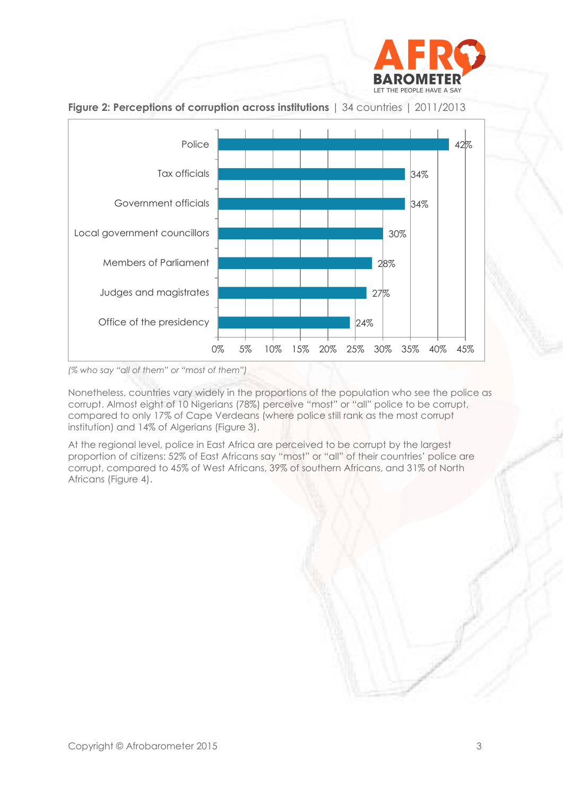



**Figure 2: Perceptions of corruption across institutions** | 34 countries | 2011/2013

*(% who say "all of them" or "most of them")*

Nonetheless, countries vary widely in the proportions of the population who see the police as corrupt. Almost eight of 10 Nigerians (78%) perceive "most" or "all" police to be corrupt, compared to only 17% of Cape Verdeans (where police still rank as the most corrupt institution) and 14% of Algerians (Figure 3).

At the regional level, police in East Africa are perceived to be corrupt by the largest proportion of citizens: 52% of East Africans say "most" or "all" of their countries' police are corrupt, compared to 45% of West Africans, 39% of southern Africans, and 31% of North Africans (Figure 4).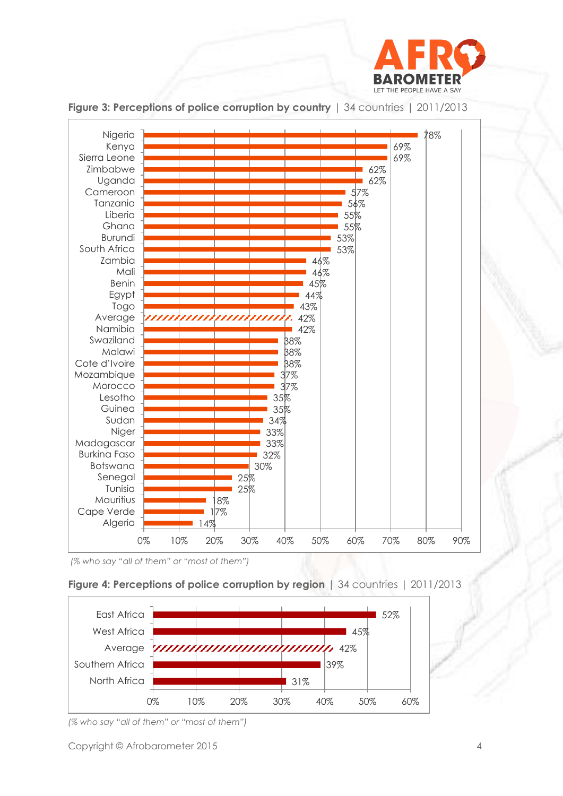



**Figure 3: Perceptions of police corruption by country | 34 countries | 2011/2013** 

*(% who say "all of them" or "most of them")*

#### **Figure 4: Perceptions of police corruption by region** | 34 countries | 2011/2013



*<sup>(%</sup> who say "all of them" or "most of them")*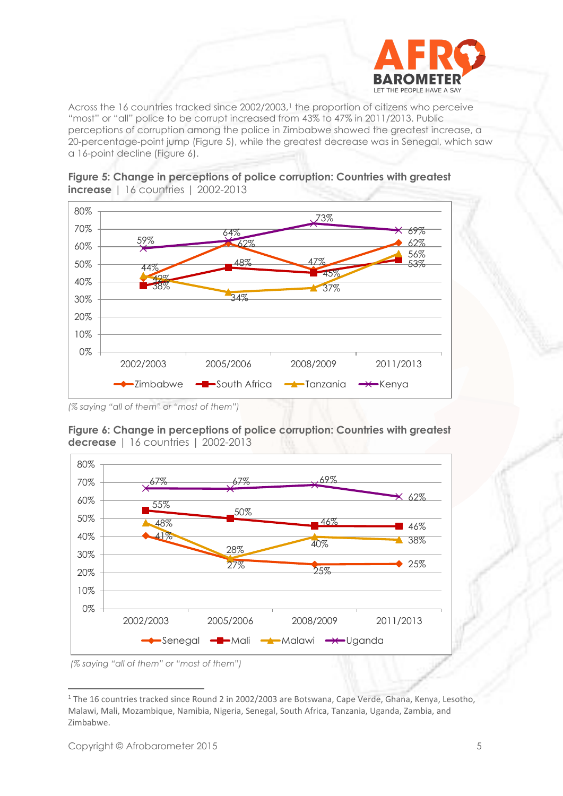

Across the 16 countries tracked since 2002/2003,<sup>1</sup> the proportion of citizens who perceive "most" or "all" police to be corrupt increased from 43% to 47% in 2011/2013. Public perceptions of corruption among the police in Zimbabwe showed the greatest increase, a 20-percentage-point jump (Figure 5), while the greatest decrease was in Senegal, which saw a 16-point decline (Figure 6).







**Figure 6: Change in perceptions of police corruption: Countries with greatest decrease** | 16 countries | 2002-2013

*<sup>(%</sup> saying "all of them" or "most of them")*

*<sup>(%</sup> saying "all of them" or "most of them")*

 <sup>1</sup> The 16 countries tracked since Round 2 in 2002/2003 are Botswana, Cape Verde, Ghana, Kenya, Lesotho, Malawi, Mali, Mozambique, Namibia, Nigeria, Senegal, South Africa, Tanzania, Uganda, Zambia, and Zimbabwe.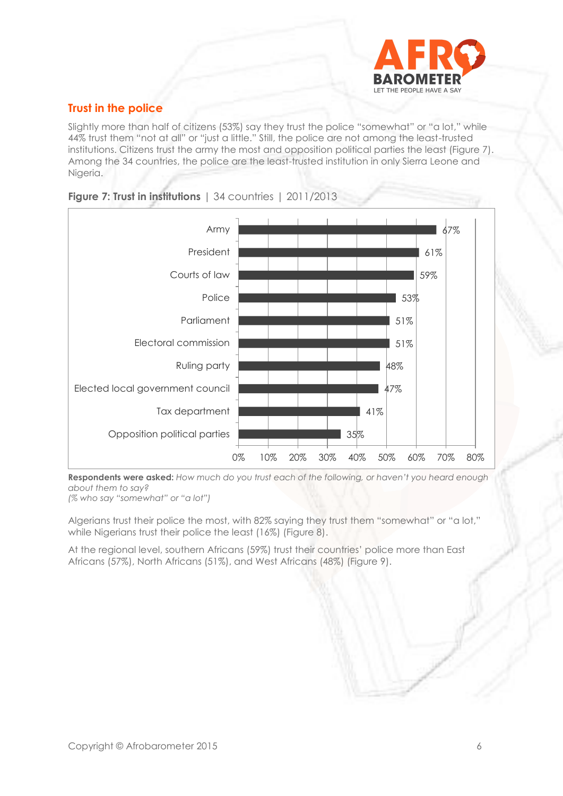

# **Trust in the police**

Slightly more than half of citizens (53%) say they trust the police "somewhat" or "a lot," while 44% trust them "not at all" or "just a little." Still, the police are not among the least-trusted institutions. Citizens trust the army the most and opposition political parties the least (Figure 7). Among the 34 countries, the police are the least-trusted institution in only Sierra Leone and Nigeria.



#### **Figure 7: Trust in institutions** | 34 countries | 2011/2013

**Respondents were asked:** *How much do you trust each of the following, or haven't you heard enough about them to say?*

*(% who say "somewhat" or "a lot")*

Algerians trust their police the most, with 82% saying they trust them "somewhat" or "a lot," while Nigerians trust their police the least (16%) (Figure 8).

At the regional level, southern Africans (59%) trust their countries' police more than East Africans (57%), North Africans (51%), and West Africans (48%) (Figure 9).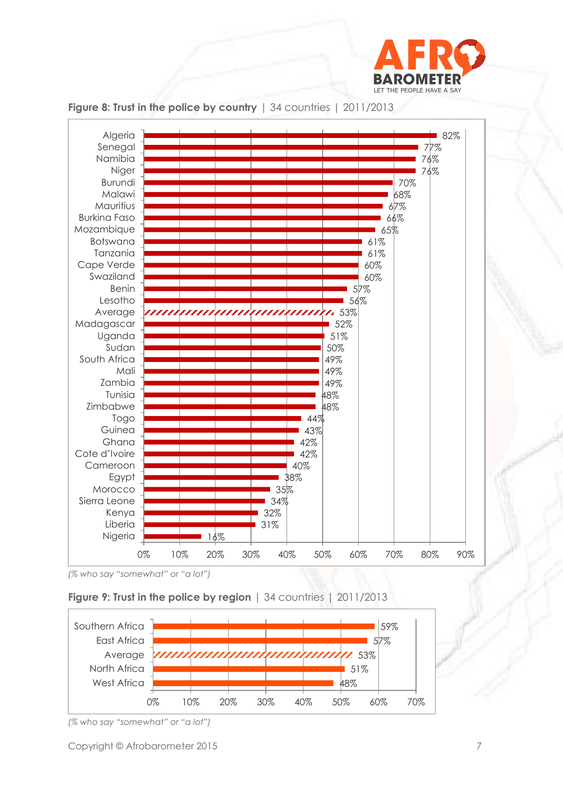



**Figure 8: Trust in the police by country** | 34 countries | 2011/2013

## **Figure 9: Trust in the police by region** | 34 countries | 2011/2013



*<sup>(%</sup> who say "somewhat" or "a lot")*

*<sup>(%</sup> who say "somewhat" or "a lot")*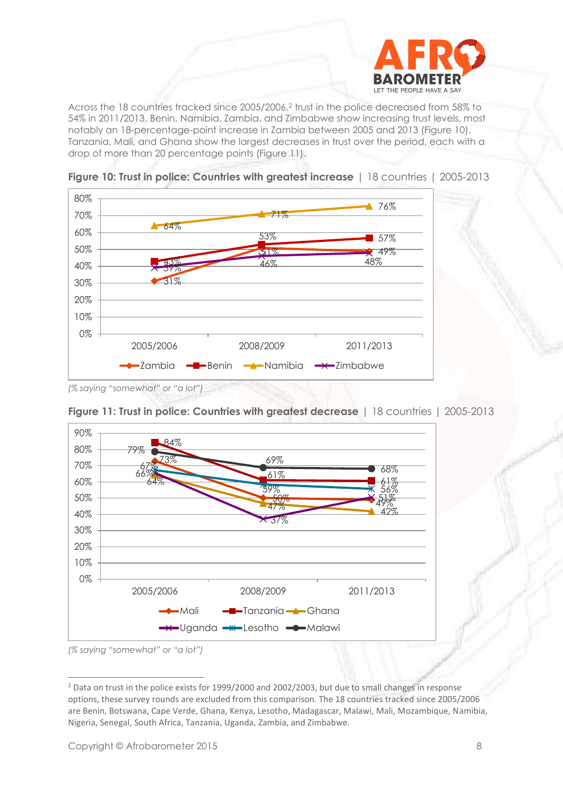

Across the 18 countries tracked since 2005/2006,<sup>2</sup> trust in the police decreased from 58% to 54% in 2011/2013. Benin, Namibia, Zambia, and Zimbabwe show increasing trust levels, most notably an 18-percentage-point increase in Zambia between 2005 and 2013 (Figure 10). Tanzania, Mali, and Ghana show the largest decreases in trust over the period, each with a drop of more than 20 percentage points (Figure 11).



**Figure 10: Trust in police: Countries with greatest increase** | 18 countries | 2005-2013

*<sup>(%</sup> saying "somewhat" or "a lot")*



**Figure 11: Trust in police: Countries with greatest decrease** | 18 countries | 2005-2013

*(% saying "somewhat" or "a lot")* 

<sup>&</sup>lt;sup>2</sup> Data on trust in the police exists for 1999/2000 and 2002/2003, but due to small changes in response options, these survey rounds are excluded from this comparison. The 18 countries tracked since 2005/2006 are Benin, Botswana, Cape Verde, Ghana, Kenya, Lesotho, Madagascar, Malawi, Mali, Mozambique, Namibia, Nigeria, Senegal, South Africa, Tanzania, Uganda, Zambia, and Zimbabwe.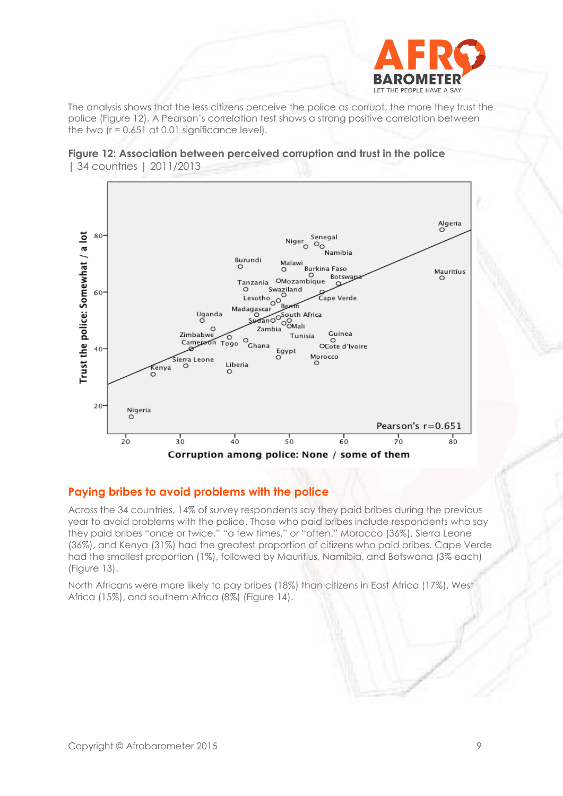

The analysis shows that the less citizens perceive the police as corrupt, the more they trust the police (Figure 12). A Pearson's correlation test shows a strong positive correlation between the two  $(r = 0.651$  at 0.01 significance level).





## **Paying bribes to avoid problems with the police**

Across the 34 countries, 14% of survey respondents say they paid bribes during the previous year to avoid problems with the police. Those who paid bribes include respondents who say they paid bribes "once or twice," "a few times," or "often." Morocco (36%), Sierra Leone (36%), and Kenya (31%) had the greatest proportion of citizens who paid bribes. Cape Verde had the smallest proportion (1%), followed by Mauritius, Namibia, and Botswana (3% each) (Figure 13).

North Africans were more likely to pay bribes (18%) than citizens in East Africa (17%), West Africa (15%), and southern Africa (8%) (Figure 14).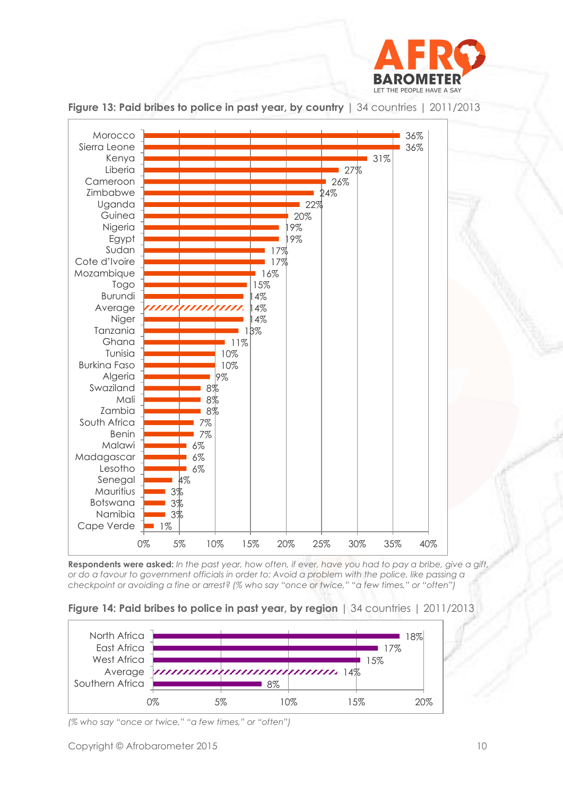



**Figure 13: Paid bribes to police in past year, by country** | 34 countries | 2011/2013

**Respondents were asked:** *In the past year, how often, if ever, have you had to pay a bribe, give a gift, or do a favour to government officials in order to: Avoid a problem with the police, like passing a checkpoint or avoiding a fine or arrest? (% who say "once or twice," "a few times," or "often")*

#### **Figure 14: Paid bribes to police in past year, by region** | 34 countries | 2011/2013



*(% who say "once or twice," "a few times," or "often")*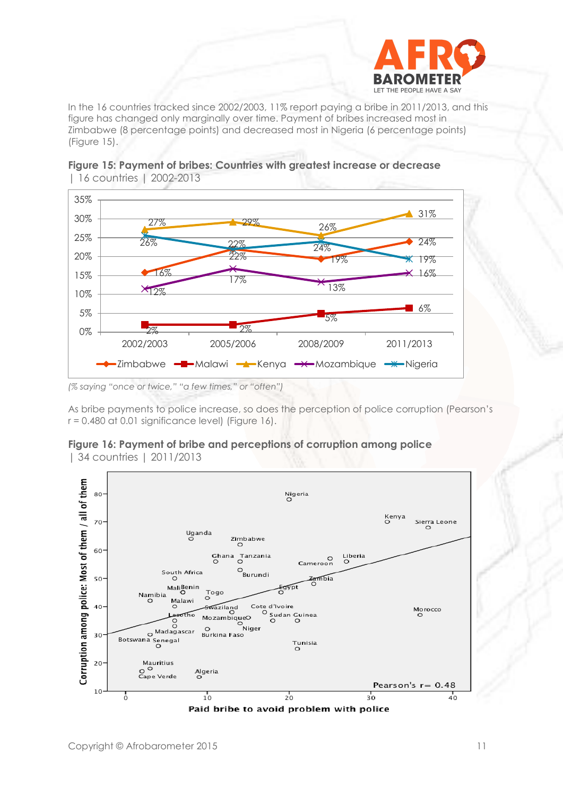

In the 16 countries tracked since 2002/2003, 11% report paying a bribe in 2011/2013, and this figure has changed only marginally over time. Payment of bribes increased most in Zimbabwe (8 percentage points) and decreased most in Nigeria (6 percentage points) (Figure 15).





*(% saying "once or twice," "a few times," or "often")*

As bribe payments to police increase, so does the perception of police corruption (Pearson's  $r = 0.480$  at 0.01 significance level) (Figure 16).

#### **Figure 16: Payment of bribe and perceptions of corruption among police**  | 34 countries | 2011/2013

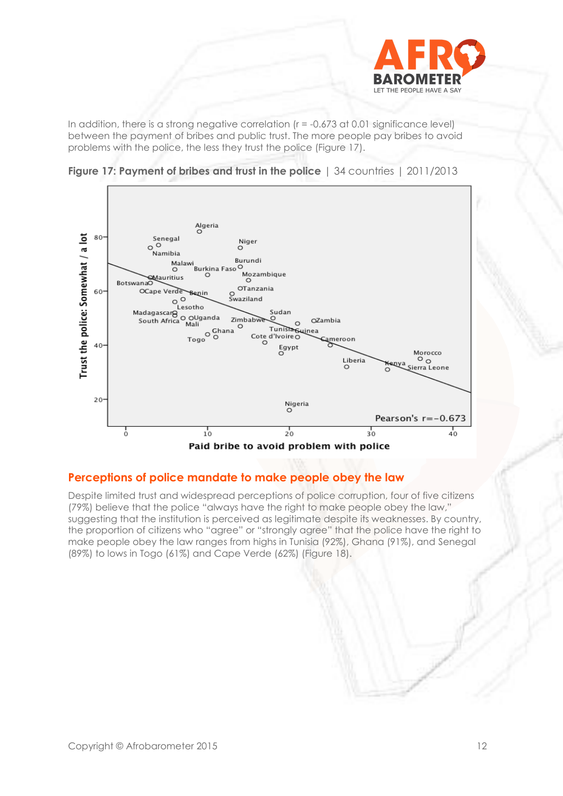

In addition, there is a strong negative correlation  $(r = -0.673 \text{ at } 0.01 \text{ significance level})$ between the payment of bribes and public trust. The more people pay bribes to avoid problems with the police, the less they trust the police (Figure 17).





## **Perceptions of police mandate to make people obey the law**

Despite limited trust and widespread perceptions of police corruption, four of five citizens (79%) believe that the police "always have the right to make people obey the law," suggesting that the institution is perceived as legitimate despite its weaknesses. By country, the proportion of citizens who "agree" or "strongly agree" that the police have the right to make people obey the law ranges from highs in Tunisia (92%), Ghana (91%), and Senegal (89%) to lows in Togo (61%) and Cape Verde (62%) (Figure 18).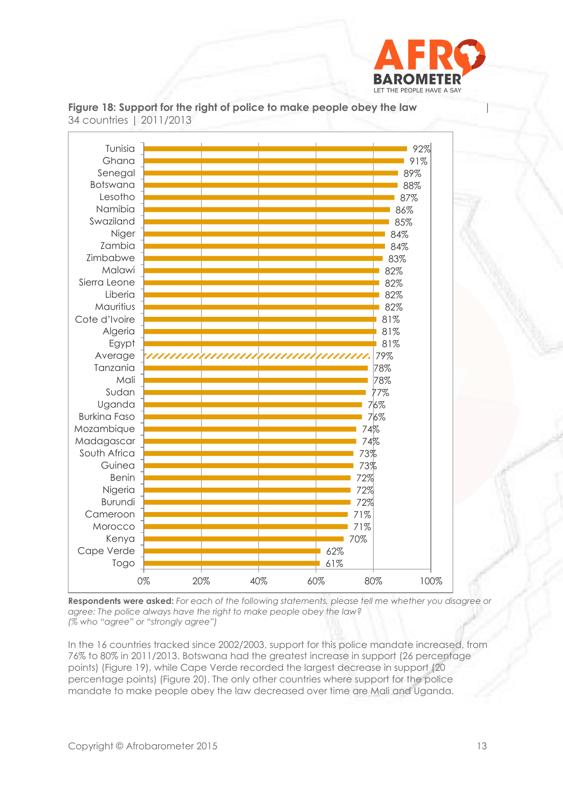



Figure 18: Support for the right of police to make people obey the law 34 countries | 2011/2013

**Respondents were asked:** *For each of the following statements, please tell me whether you disagree or agree: The police always have the right to make people obey the law? (% who "agree" or "strongly agree")*

In the 16 countries tracked since 2002/2003, support for this police mandate increased, from 76% to 80% in 2011/2013. Botswana had the greatest increase in support (26 percentage points) (Figure 19), while Cape Verde recorded the largest decrease in support (20 percentage points) (Figure 20). The only other countries where support for the police mandate to make people obey the law decreased over time are Mali and Uganda.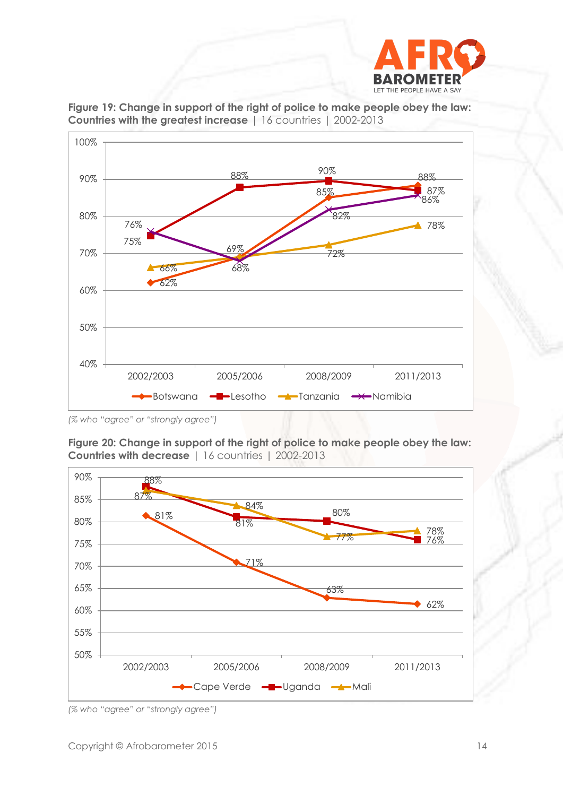



**Figure 19: Change in support of the right of police to make people obey the law: Countries with the greatest increase** | 16 countries | 2002-2013

*<sup>(%</sup> who "agree" or "strongly agree")*





*(% who "agree" or "strongly agree")*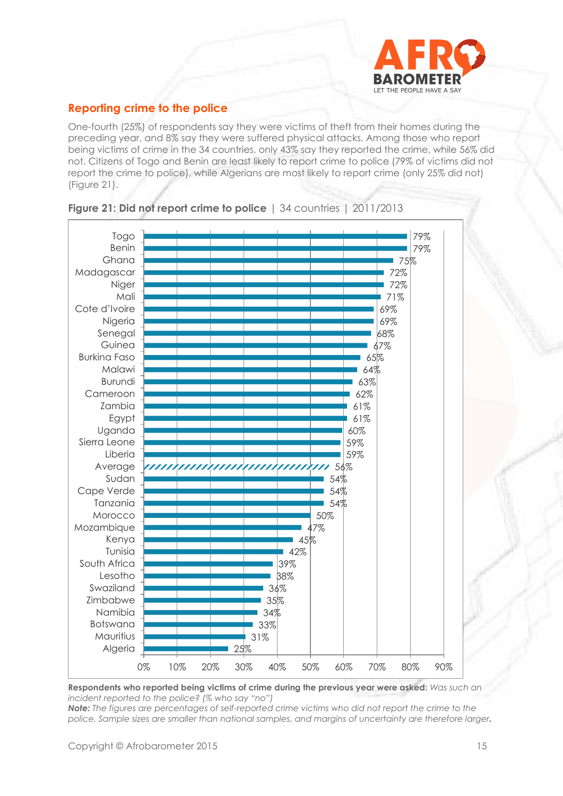

## **Reporting crime to the police**

One-fourth (25%) of respondents say they were victims of theft from their homes during the preceding year, and 8% say they were suffered physical attacks. Among those who report being victims of crime in the 34 countries, only 43% say they reported the crime, while 56% did not. Citizens of Togo and Benin are least likely to report crime to police (79% of victims did not report the crime to police), while Algerians are most likely to report crime (only 25% did not) (Figure 21).



#### **Figure 21: Did not report crime to police** | 34 countries | 2011/2013

**Respondents who reported being victims of crime during the previous year were asked:** *Was such an incident reported to the police? (% who say "no")*

*Note: The figures are percentages of self-reported crime victims who did not report the crime to the police. Sample sizes are smaller than national samples, and margins of uncertainty are therefore larger.*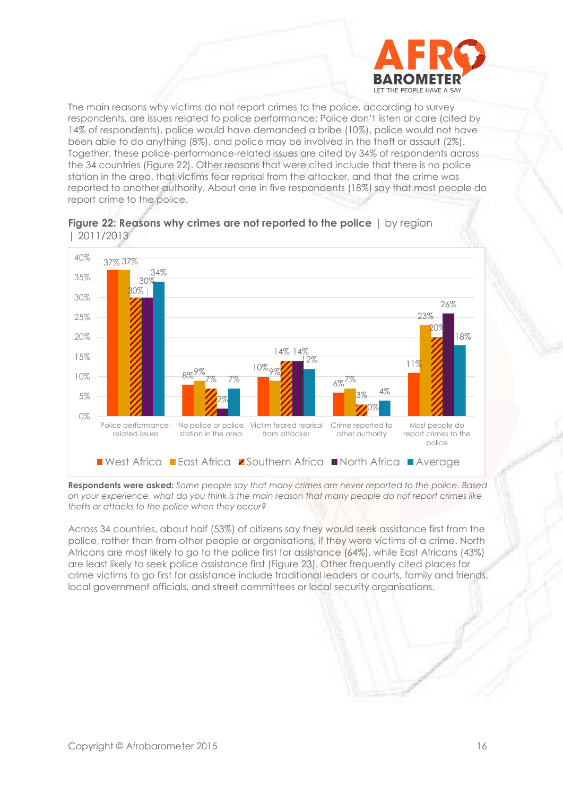

The main reasons why victims do not report crimes to the police, according to survey respondents, are issues related to police performance: Police don't listen or care (cited by 14% of respondents), police would have demanded a bribe (10%), police would not have been able to do anything (8%), and police may be involved in the theft or assault (2%). Together, these police-performance-related issues are cited by 34% of respondents across the 34 countries (Figure 22). Other reasons that were cited include that there is no police station in the area, that victims fear reprisal from the attacker, and that the crime was reported to another authority. About one in five respondents (18%) say that most people do report crime to the police.





**Respondents were asked:** *Some people say that many crimes are never reported to the police. Based on your experience, what do you think is the main reason that many people do not report crimes like thefts or attacks to the police when they occur?*

Across 34 countries, about half (53%) of citizens say they would seek assistance first from the police, rather than from other people or organisations, if they were victims of a crime. North Africans are most likely to go to the police first for assistance (64%), while East Africans (43%) are least likely to seek police assistance first (Figure 23). Other frequently cited places for crime victims to go first for assistance include traditional leaders or courts, family and friends, local government officials, and street committees or local security organisations.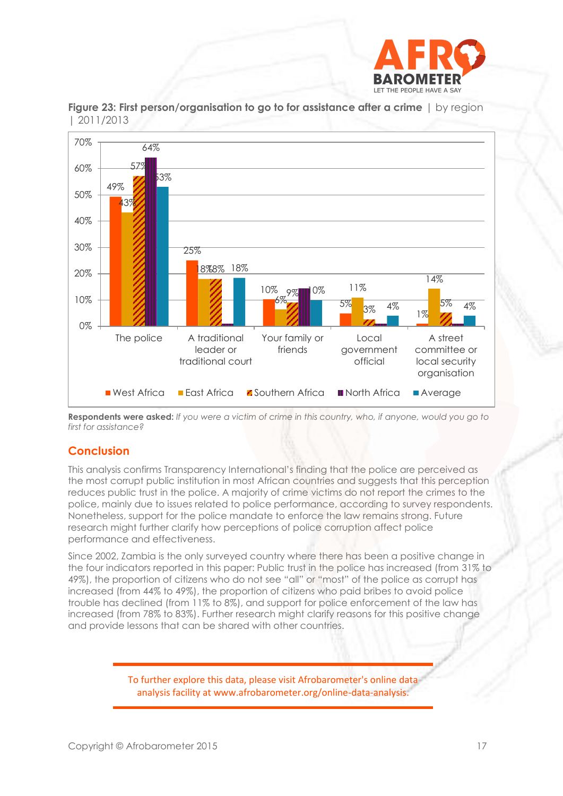



**Figure 23: First person/organisation to go to for assistance after a crime** | by region | 2011/2013

**Respondents were asked:** *If you were a victim of crime in this country, who, if anyone, would you go to first for assistance?*

## **Conclusion**

This analysis confirms Transparency International's finding that the police are perceived as the most corrupt public institution in most African countries and suggests that this perception reduces public trust in the police. A majority of crime victims do not report the crimes to the police, mainly due to issues related to police performance, according to survey respondents. Nonetheless, support for the police mandate to enforce the law remains strong. Future research might further clarify how perceptions of police corruption affect police performance and effectiveness.

Since 2002, Zambia is the only surveyed country where there has been a positive change in the four indicators reported in this paper: Public trust in the police has increased (from 31% to 49%), the proportion of citizens who do not see "all" or "most" of the police as corrupt has increased (from 44% to 49%), the proportion of citizens who paid bribes to avoid police trouble has declined (from 11% to 8%), and support for police enforcement of the law has increased (from 78% to 83%). Further research might clarify reasons for this positive change and provide lessons that can be shared with other countries.

> To further explore this data, please visit Afrobarometer's online data analysis facility at www.afrobarometer.org/online-data-analysis.